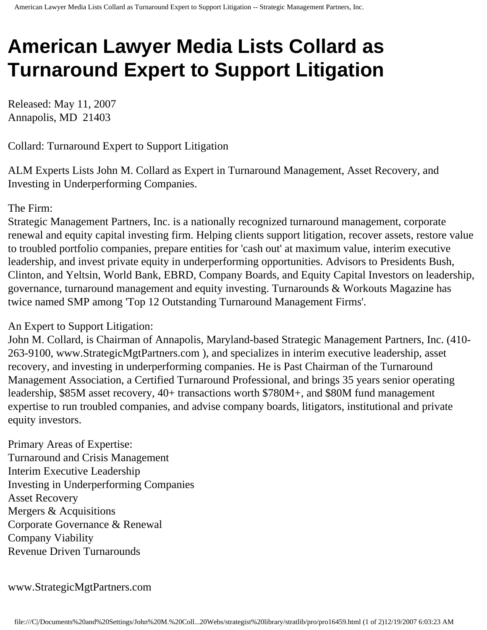## **American Lawyer Media Lists Collard as Turnaround Expert to Support Litigation**

Released: May 11, 2007 Annapolis, MD 21403

Collard: Turnaround Expert to Support Litigation

ALM Experts Lists John M. Collard as Expert in Turnaround Management, Asset Recovery, and Investing in Underperforming Companies.

## The Firm:

Strategic Management Partners, Inc. is a nationally recognized turnaround management, corporate renewal and equity capital investing firm. Helping clients support litigation, recover assets, restore value to troubled portfolio companies, prepare entities for 'cash out' at maximum value, interim executive leadership, and invest private equity in underperforming opportunities. Advisors to Presidents Bush, Clinton, and Yeltsin, World Bank, EBRD, Company Boards, and Equity Capital Investors on leadership, governance, turnaround management and equity investing. Turnarounds & Workouts Magazine has twice named SMP among 'Top 12 Outstanding Turnaround Management Firms'.

## An Expert to Support Litigation:

John M. Collard, is Chairman of Annapolis, Maryland-based Strategic Management Partners, Inc. (410- 263-9100, www.StrategicMgtPartners.com ), and specializes in interim executive leadership, asset recovery, and investing in underperforming companies. He is Past Chairman of the Turnaround Management Association, a Certified Turnaround Professional, and brings 35 years senior operating leadership, \$85M asset recovery, 40+ transactions worth \$780M+, and \$80M fund management expertise to run troubled companies, and advise company boards, litigators, institutional and private equity investors.

Primary Areas of Expertise: Turnaround and Crisis Management Interim Executive Leadership Investing in Underperforming Companies Asset Recovery Mergers & Acquisitions Corporate Governance & Renewal Company Viability Revenue Driven Turnarounds

www.StrategicMgtPartners.com